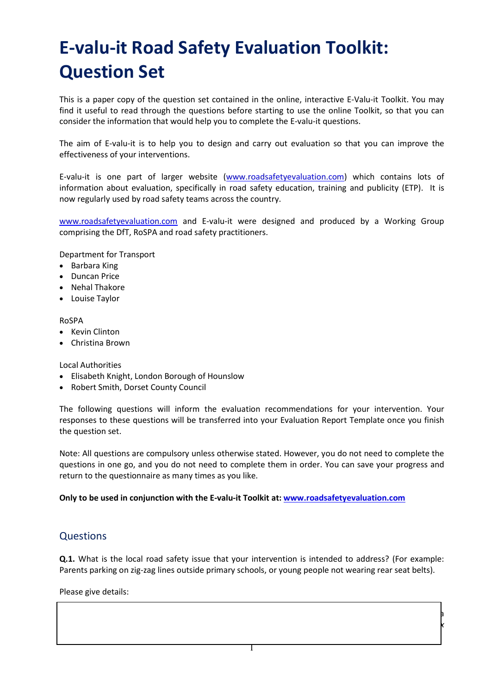# E-valu-it Road Safety Evaluation Toolkit: Question Set

This is a paper copy of the question set contained in the online, interactive E-Valu-it Toolkit. You may find it useful to read through the questions before starting to use the online Toolkit, so that you can consider the information that would help you to complete the E-valu-it questions.

The aim of E-valu-it is to help you to design and carry out evaluation so that you can improve the effectiveness of your interventions.

E-valu-it is one part of larger website (www.roadsafetyevaluation.com) which contains lots of information about evaluation, specifically in road safety education, training and publicity (ETP). It is now regularly used by road safety teams across the country.

www.roadsafetyevaluation.com and E-valu-it were designed and produced by a Working Group comprising the DfT, RoSPA and road safety practitioners.

Department for Transport

- Barbara King
- Duncan Price
- Nehal Thakore
- Louise Taylor

RoSPA

- Kevin Clinton
- Christina Brown

Local Authorities

- Elisabeth Knight, London Borough of Hounslow
- Robert Smith, Dorset County Council

The following questions will inform the evaluation recommendations for your intervention. Your responses to these questions will be transferred into your Evaluation Report Template once you finish the question set.

Note: All questions are compulsory unless otherwise stated. However, you do not need to complete the questions in one go, and you do not need to complete them in order. You can save your progress and return to the questionnaire as many times as you like.

### Only to be used in conjunction with the E-valu-it Toolkit at: www.roadsafetyevaluation.com

## **Questions**

Q.1. What is the local road safety issue that your intervention is intended to address? (For example: Parents parking on zig-zag lines outside primary schools, or young people not wearing rear seat belts).

1

 $\lambda$  $\mathsf{k}$ 

Please give details: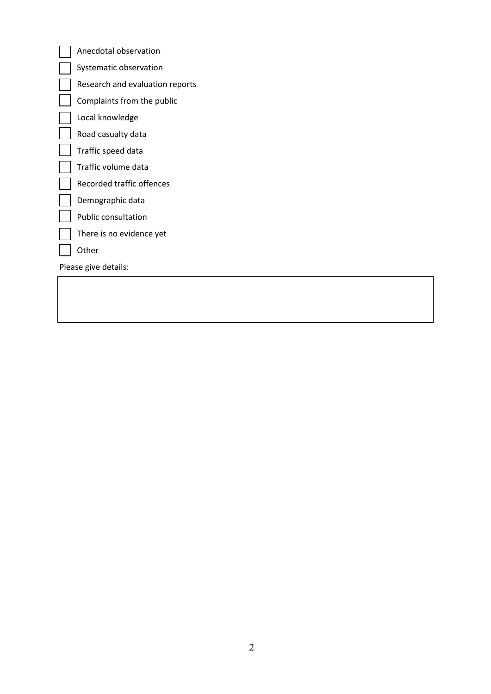| Anecdotal observation           |
|---------------------------------|
| Systematic observation          |
| Research and evaluation reports |
| Complaints from the public      |
| Local knowledge                 |
| Road casualty data              |
| Traffic speed data              |
| Traffic volume data             |
| Recorded traffic offences       |
| Demographic data                |
| <b>Public consultation</b>      |
| There is no evidence yet        |
| Other                           |
| Please give details:            |
|                                 |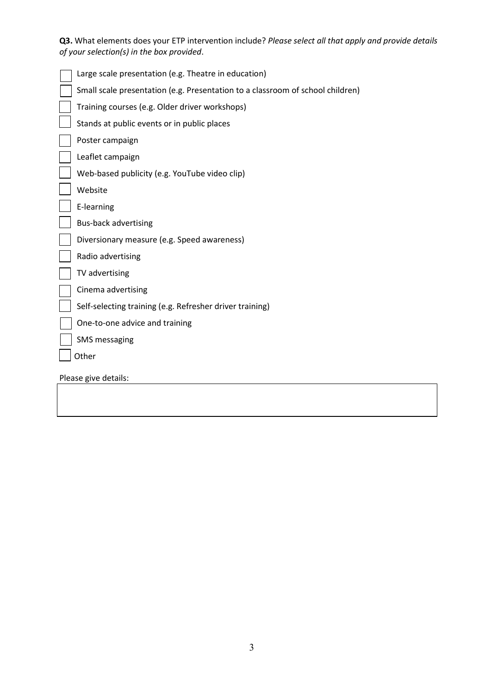Q3. What elements does your ETP intervention include? Please select all that apply and provide details of your selection(s) in the box provided.

| Large scale presentation (e.g. Theatre in education)                           |
|--------------------------------------------------------------------------------|
| Small scale presentation (e.g. Presentation to a classroom of school children) |
| Training courses (e.g. Older driver workshops)                                 |
| Stands at public events or in public places                                    |
| Poster campaign                                                                |
| Leaflet campaign                                                               |
| Web-based publicity (e.g. YouTube video clip)                                  |
| Website                                                                        |
| E-learning                                                                     |
| <b>Bus-back advertising</b>                                                    |
| Diversionary measure (e.g. Speed awareness)                                    |
| Radio advertising                                                              |
| TV advertising                                                                 |
| Cinema advertising                                                             |
| Self-selecting training (e.g. Refresher driver training)                       |
| One-to-one advice and training                                                 |
| <b>SMS</b> messaging                                                           |
| Other                                                                          |
| Please give details:                                                           |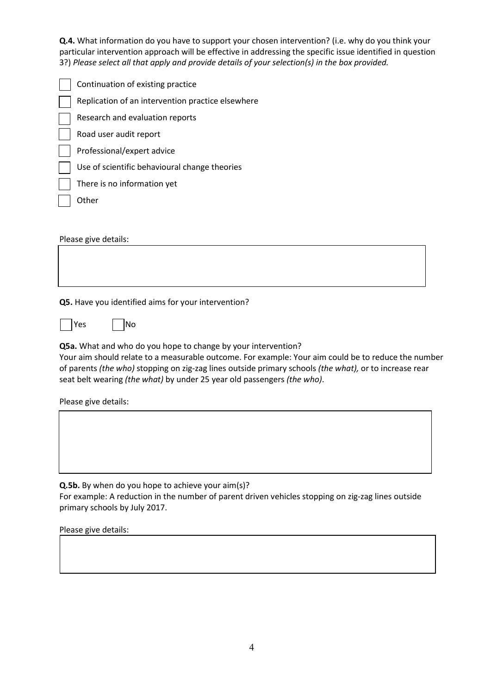Q.4. What information do you have to support your chosen intervention? (i.e. why do you think your particular intervention approach will be effective in addressing the specific issue identified in question 3?) Please select all that apply and provide details of your selection(s) in the box provided.

| Continuation of existing practice                 |
|---------------------------------------------------|
|                                                   |
| Replication of an intervention practice elsewhere |
| Research and evaluation reports                   |
| Road user audit report                            |
| Professional/expert advice                        |
| Use of scientific behavioural change theories     |
| There is no information yet                       |
| ∩ther                                             |

Please give details:

Q5. Have you identified aims for your intervention?

 $Yes$  No

Q5a. What and who do you hope to change by your intervention?

Your aim should relate to a measurable outcome. For example: Your aim could be to reduce the number of parents (the who) stopping on zig-zag lines outside primary schools (the what), or to increase rear seat belt wearing (the what) by under 25 year old passengers (the who).

Please give details:

Q.5b. By when do you hope to achieve your aim(s)? For example: A reduction in the number of parent driven vehicles stopping on zig-zag lines outside primary schools by July 2017.

Please give details: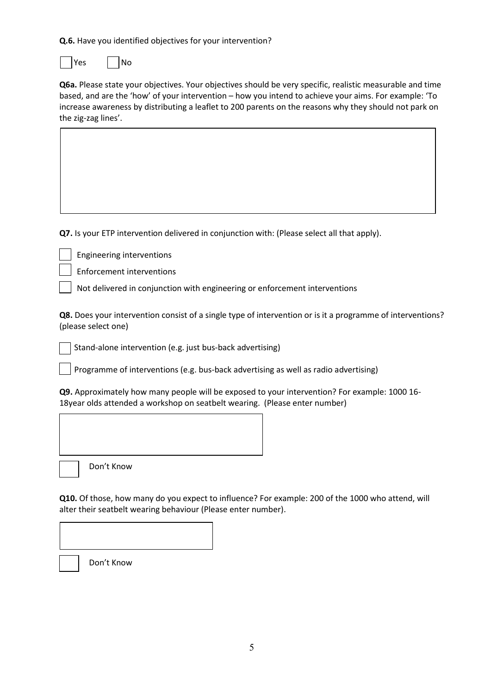Q.6. Have you identified objectives for your intervention?

lyes I INo

Q6a. Please state your objectives. Your objectives should be very specific, realistic measurable and time based, and are the 'how' of your intervention – how you intend to achieve your aims. For example: 'To increase awareness by distributing a leaflet to 200 parents on the reasons why they should not park on the zig-zag lines'.

Q7. Is your ETP intervention delivered in conjunction with: (Please select all that apply).

Engineering interventions

Enforcement interventions

Not delivered in conjunction with engineering or enforcement interventions

Q8. Does your intervention consist of a single type of intervention or is it a programme of interventions? (please select one)

Stand-alone intervention (e.g. just bus-back advertising)

Programme of interventions (e.g. bus-back advertising as well as radio advertising)

Q9. Approximately how many people will be exposed to your intervention? For example: 1000 16- 18year olds attended a workshop on seatbelt wearing. (Please enter number)

Don't Know

Don't Know

Q10. Of those, how many do you expect to influence? For example: 200 of the 1000 who attend, will alter their seatbelt wearing behaviour (Please enter number).

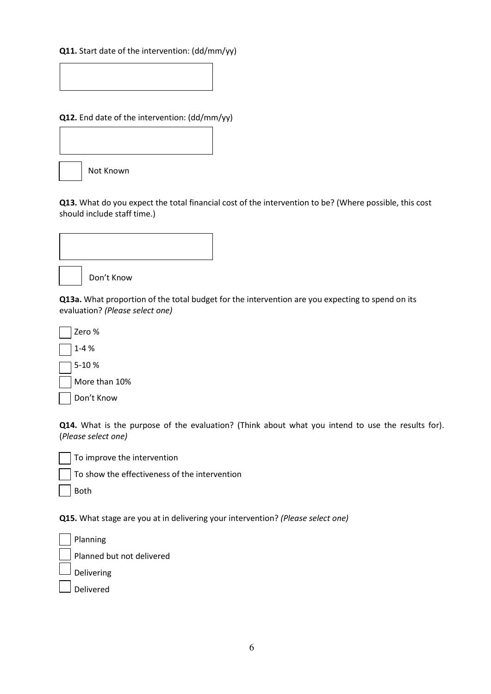## Q11. Start date of the intervention: (dd/mm/yy)

Q12. End date of the intervention: (dd/mm/yy)



Q13. What do you expect the total financial cost of the intervention to be? (Where possible, this cost should include staff time.)



Don't Know

Q13a. What proportion of the total budget for the intervention are you expecting to spend on its evaluation? (Please select one)

Zero % 1-4 % 5-10 % More than 10% Don't Know

Q14. What is the purpose of the evaluation? (Think about what you intend to use the results for). (Please select one)

To improve the intervention

To show the effectiveness of the intervention

Both

Q15. What stage are you at in delivering your intervention? (Please select one)

| $\sqrt{\frac{1}{2}}$ Planning |
|-------------------------------|
| Planned but not delivered     |
| $\Box$ Delivering             |
| $\rfloor$ Delivered           |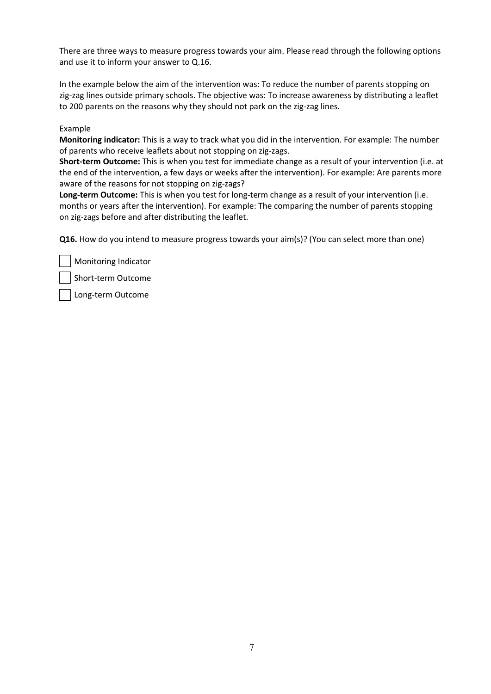There are three ways to measure progress towards your aim. Please read through the following options and use it to inform your answer to Q.16.

In the example below the aim of the intervention was: To reduce the number of parents stopping on zig-zag lines outside primary schools. The objective was: To increase awareness by distributing a leaflet to 200 parents on the reasons why they should not park on the zig-zag lines.

#### Example

Monitoring indicator: This is a way to track what you did in the intervention. For example: The number of parents who receive leaflets about not stopping on zig-zags.

Short-term Outcome: This is when you test for immediate change as a result of your intervention (i.e. at the end of the intervention, a few days or weeks after the intervention). For example: Are parents more aware of the reasons for not stopping on zig-zags?

Long-term Outcome: This is when you test for long-term change as a result of your intervention (i.e. months or years after the intervention). For example: The comparing the number of parents stopping on zig-zags before and after distributing the leaflet.

Q16. How do you intend to measure progress towards your aim(s)? (You can select more than one)

Monitoring Indicator

Short-term Outcome

Long-term Outcome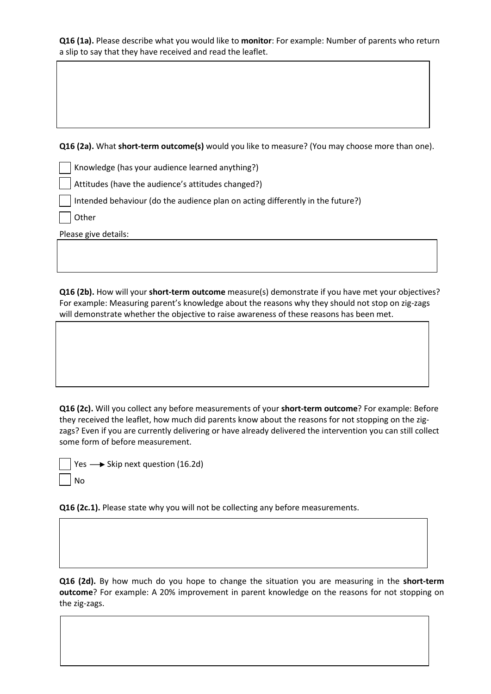Q16 (1a). Please describe what you would like to monitor: For example: Number of parents who return a slip to say that they have received and read the leaflet.

Q16 (2a). What short-term outcome(s) would you like to measure? (You may choose more than one).

Knowledge (has your audience learned anything?)

Attitudes (have the audience's attitudes changed?)

Intended behaviour (do the audience plan on acting differently in the future?)

Other

Please give details:

Q16 (2b). How will your short-term outcome measure(s) demonstrate if you have met your objectives? For example: Measuring parent's knowledge about the reasons why they should not stop on zig-zags will demonstrate whether the objective to raise awareness of these reasons has been met.

Q16 (2c). Will you collect any before measurements of your short-term outcome? For example: Before they received the leaflet, how much did parents know about the reasons for not stopping on the zigzags? Even if you are currently delivering or have already delivered the intervention you can still collect some form of before measurement.

Yes  $\longrightarrow$  Skip next question (16.2d) No

Q16 (2c.1). Please state why you will not be collecting any before measurements.

Q16 (2d). By how much do you hope to change the situation you are measuring in the short-term outcome? For example: A 20% improvement in parent knowledge on the reasons for not stopping on the zig-zags.